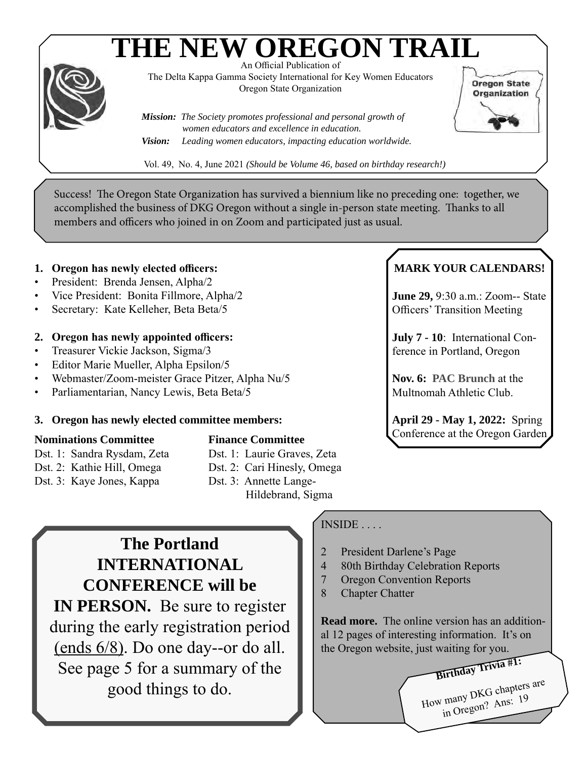# **THE NEW OREGON TRAIL**



An Official Publication of The Delta Kappa Gamma Society International for Key Women Educators Oregon State Organization

*Mission: The Society promotes professional and personal growth of women educators and excellence in education. Vision: Leading women educators, impacting education worldwide.* **Oregon State** Organization

Vol. 49, No. 4, June 2021 *(Should be Volume 46, based on birthday research!)*

Success! The Oregon State Organization has survived a biennium like no preceding one: together, we accomplished the business of DKG Oregon without a single in-person state meeting. Thanks to all members and officers who joined in on Zoom and participated just as usual.

## **1. Oregon has newly elected officers:**

- President: Brenda Jensen, Alpha/2
- Vice President: Bonita Fillmore, Alpha/2
- Secretary: Kate Kelleher, Beta Beta/5

## **2. Oregon has newly appointed officers:**

- Treasurer Vickie Jackson, Sigma/3
- Editor Marie Mueller, Alpha Epsilon/5
- Webmaster/Zoom-meister Grace Pitzer, Alpha Nu/5
- Parliamentarian, Nancy Lewis, Beta Beta/5

#### **3. Oregon has newly elected committee members:**

## **Nominations Committee**

Dst. 1: Sandra Rysdam, Zeta Dst. 2: Kathie Hill, Omega Dst. 3: Kaye Jones, Kappa

## **Finance Committee**

- Dst. 1: Laurie Graves, Zeta
- Dst. 2: Cari Hinesly, Omega
- Dst. 3: Annette Lange- Hildebrand, Sigma

**The Portland INTERNATIONAL CONFERENCE will be IN PERSON.** Be sure to register during the early registration period (ends 6/8). Do one day--or do all. See page 5 for a summary of the good things to do.

## INSIDE . . . .

- 2 President Darlene's Page
- 4 80th Birthday Celebration Reports
- 7 Oregon Convention Reports
- 8 Chapter Chatter

**Read more.** The online version has an additional 12 pages of interesting information. It's on the Oregon website, just waiting for you.

**Birthday Trivia #1:** How many DKG chapters are<br>How many DKG chapters are in Oregon? Ans: 19

## **MARK YOUR CALENDARS!**

**June 29,** 9:30 a.m.: Zoom-- State Officers' Transition Meeting

**July 7 - 10**: International Conference in Portland, Oregon

**Nov. 6: PAC Brunch** at the Multnomah Athletic Club.

**April 29 - May 1, 2022:** Spring Conference at the Oregon Garden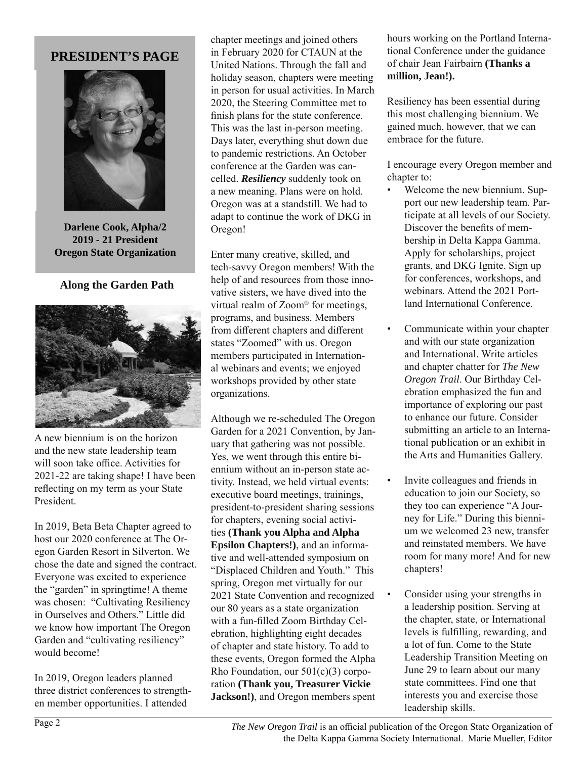## **PRESIDENT'S PAGE**



**Darlene Cook, Alpha/2 2019 - 21 President Oregon State Organization**

#### **Along the Garden Path**



A new biennium is on the horizon and the new state leadership team will soon take office. Activities for 2021-22 are taking shape! I have been reflecting on my term as your State President.

In 2019, Beta Beta Chapter agreed to host our 2020 conference at The Oregon Garden Resort in Silverton. We chose the date and signed the contract. Everyone was excited to experience the "garden" in springtime! A theme was chosen: "Cultivating Resiliency in Ourselves and Others." Little did we know how important The Oregon Garden and "cultivating resiliency" would become!

In 2019, Oregon leaders planned three district conferences to strengthen member opportunities. I attended

chapter meetings and joined others in February 2020 for CTAUN at the United Nations. Through the fall and holiday season, chapters were meeting in person for usual activities. In March 2020, the Steering Committee met to finish plans for the state conference. This was the last in-person meeting. Days later, everything shut down due to pandemic restrictions. An October conference at the Garden was cancelled. *Resiliency* suddenly took on a new meaning. Plans were on hold. Oregon was at a standstill. We had to adapt to continue the work of DKG in Oregon!

Enter many creative, skilled, and tech-savvy Oregon members! With the help of and resources from those innovative sisters, we have dived into the virtual realm of Zoom® for meetings, programs, and business. Members from different chapters and different states "Zoomed" with us. Oregon members participated in International webinars and events; we enjoyed workshops provided by other state organizations.

Although we re-scheduled The Oregon Garden for a 2021 Convention, by January that gathering was not possible. Yes, we went through this entire biennium without an in-person state activity. Instead, we held virtual events: executive board meetings, trainings, president-to-president sharing sessions for chapters, evening social activities **(Thank you Alpha and Alpha Epsilon Chapters!)**, and an informative and well-attended symposium on "Displaced Children and Youth." This spring, Oregon met virtually for our 2021 State Convention and recognized our 80 years as a state organization with a fun-filled Zoom Birthday Celebration, highlighting eight decades of chapter and state history. To add to these events, Oregon formed the Alpha Rho Foundation, our  $501(c)(3)$  corporation **(Thank you, Treasurer Vickie Jackson!)**, and Oregon members spent hours working on the Portland International Conference under the guidance of chair Jean Fairbairn **(Thanks a million, Jean!).**

Resiliency has been essential during this most challenging biennium. We gained much, however, that we can embrace for the future.

I encourage every Oregon member and chapter to:

- Welcome the new biennium. Support our new leadership team. Participate at all levels of our Society. Discover the benefits of membership in Delta Kappa Gamma. Apply for scholarships, project grants, and DKG Ignite. Sign up for conferences, workshops, and webinars. Attend the 2021 Portland International Conference.
- Communicate within your chapter and with our state organization and International. Write articles and chapter chatter for *The New Oregon Trail*. Our Birthday Celebration emphasized the fun and importance of exploring our past to enhance our future. Consider submitting an article to an International publication or an exhibit in the Arts and Humanities Gallery.
- Invite colleagues and friends in education to join our Society, so they too can experience "A Journey for Life." During this biennium we welcomed 23 new, transfer and reinstated members. We have room for many more! And for new chapters!
- Consider using your strengths in a leadership position. Serving at the chapter, state, or International levels is fulfilling, rewarding, and a lot of fun. Come to the State Leadership Transition Meeting on June 29 to learn about our many state committees. Find one that interests you and exercise those leadership skills.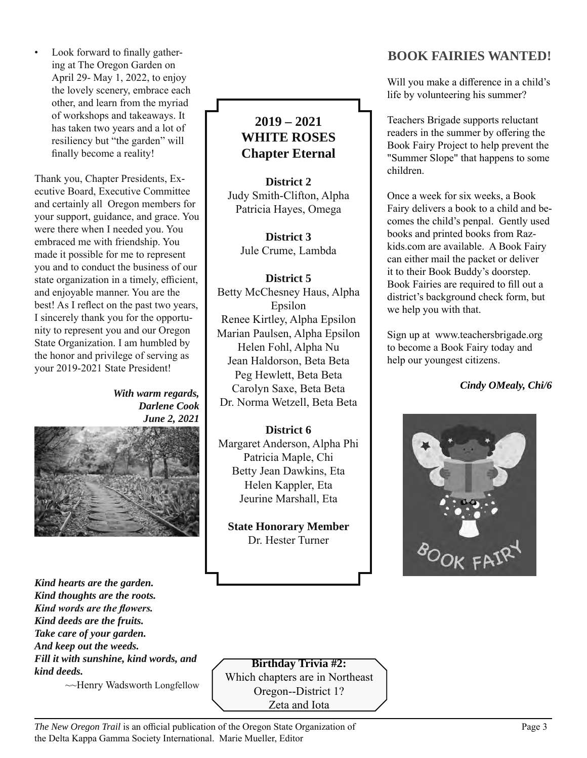• Look forward to finally gathering at The Oregon Garden on April 29- May 1, 2022, to enjoy the lovely scenery, embrace each other, and learn from the myriad of workshops and takeaways. It has taken two years and a lot of resiliency but "the garden" will finally become a reality!

Thank you, Chapter Presidents, Executive Board, Executive Committee and certainly all Oregon members for your support, guidance, and grace. You were there when I needed you. You embraced me with friendship. You made it possible for me to represent you and to conduct the business of our state organization in a timely, efficient, and enjoyable manner. You are the best! As I reflect on the past two years, I sincerely thank you for the opportunity to represent you and our Oregon State Organization. I am humbled by the honor and privilege of serving as your 2019-2021 State President!

> *With warm regards, Darlene Cook June 2, 2021*



*Kind hearts are the garden. Kind thoughts are the roots. Kind words are the flowers. Kind deeds are the fruits. Take care of your garden. And keep out the weeds. Fill it with sunshine, kind words, and kind deeds.*

~~Henry Wadsworth Longfellow

## **2019 – 2021 WHITE ROSES Chapter Eternal**

**District 2** Judy Smith-Clifton, Alpha Patricia Hayes, Omega

> **District 3** Jule Crume, Lambda

**District 5** Betty McChesney Haus, Alpha Epsilon Renee Kirtley, Alpha Epsilon Marian Paulsen, Alpha Epsilon Helen Fohl, Alpha Nu Jean Haldorson, Beta Beta Peg Hewlett, Beta Beta Carolyn Saxe, Beta Beta Dr. Norma Wetzell, Beta Beta

## **District 6** Margaret Anderson, Alpha Phi Patricia Maple, Chi Betty Jean Dawkins, Eta Helen Kappler, Eta Jeurine Marshall, Eta

**State Honorary Member** Dr. Hester Turner

## **BOOK FAIRIES WANTED!**

Will you make a difference in a child's life by volunteering his summer?

Teachers Brigade supports reluctant readers in the summer by offering the Book Fairy Project to help prevent the "Summer Slope" that happens to some children.

Once a week for six weeks, a Book Fairy delivers a book to a child and becomes the child's penpal. Gently used books and printed books from Razkids.com are available. A Book Fairy can either mail the packet or deliver it to their Book Buddy's doorstep. Book Fairies are required to fill out a district's background check form, but we help you with that.

Sign up at www.teachersbrigade.org to become a Book Fairy today and help our youngest citizens.

*Cindy OMealy, Chi/6*



#### **Birthday Trivia #2:**  Which chapters are in Northeast Oregon--District 1?

Zeta and Iota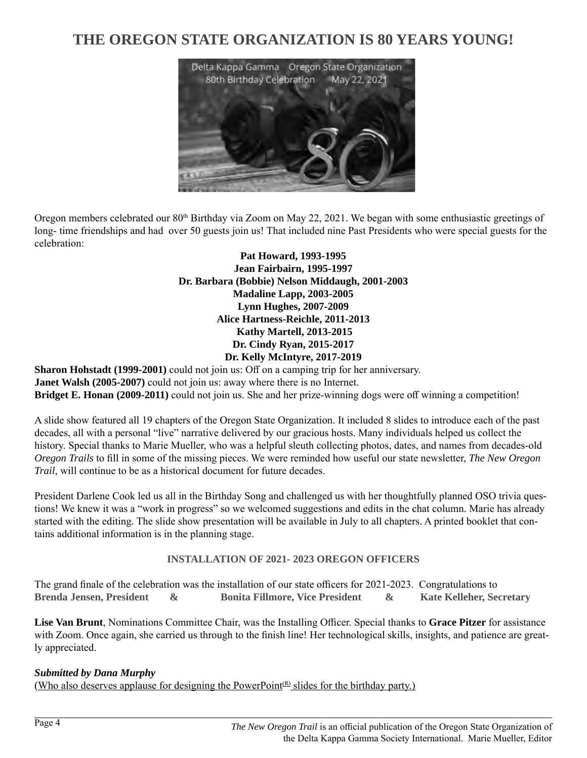## **THE OREGON STATE ORGANIZATION IS 80 YEARS YOUNG!**



Oregon members celebrated our 80<sup>th</sup> Birthday via Zoom on May 22, 2021. We began with some enthusiastic greetings of long- time friendships and had over 50 guests join us! That included nine Past Presidents who were special guests for the celebration:

> **Pat Howard, 1993-1995 Jean Fairbairn, 1995-1997 Dr. Barbara (Bobbie) Nelson Middaugh, 2001-2003 Madaline Lapp, 2003-2005 Lynn Hughes, 2007-2009 Alice Hartness-Reichle, 2011-2013 Kathy Martell, 2013-2015 Dr. Cindy Ryan, 2015-2017 Dr. Kelly McIntyre, 2017-2019**

**Sharon Hohstadt (1999-2001)** could not join us: Off on a camping trip for her anniversary. **Janet Walsh (2005-2007)** could not join us: away where there is no Internet. **Bridget E. Honan (2009-2011)** could not join us. She and her prize-winning dogs were off winning a competition!

A slide show featured all 19 chapters of the Oregon State Organization. It included 8 slides to introduce each of the past decades, all with a personal "live" narrative delivered by our gracious hosts. Many individuals helped us collect the history. Special thanks to Marie Mueller, who was a helpful sleuth collecting photos, dates, and names from decades-old *Oregon Trails* to fill in some of the missing pieces. We were reminded how useful our state newsletter, *The New Oregon Trail*, will continue to be as a historical document for future decades.

President Darlene Cook led us all in the Birthday Song and challenged us with her thoughtfully planned OSO trivia questions! We knew it was a "work in progress" so we welcomed suggestions and edits in the chat column. Marie has already started with the editing. The slide show presentation will be available in July to all chapters. A printed booklet that contains additional information is in the planning stage.

#### **INSTALLATION OF 2021- 2023 OREGON OFFICERS**

The grand finale of the celebration was the installation of our state officers for 2021-2023. Congratulations to **Brenda Jensen, President & Bonita Fillmore, Vice President & Kate Kelleher, Secretary**

**Lise Van Brunt**, Nominations Committee Chair, was the Installing Officer. Special thanks to **Grace Pitzer** for assistance with Zoom. Once again, she carried us through to the finish line! Her technological skills, insights, and patience are greatly appreciated.

#### *Submitted by Dana Murphy*

(Who also deserves applause for designing the PowerPoint<sup>(R)</sup> slides for the birthday party.)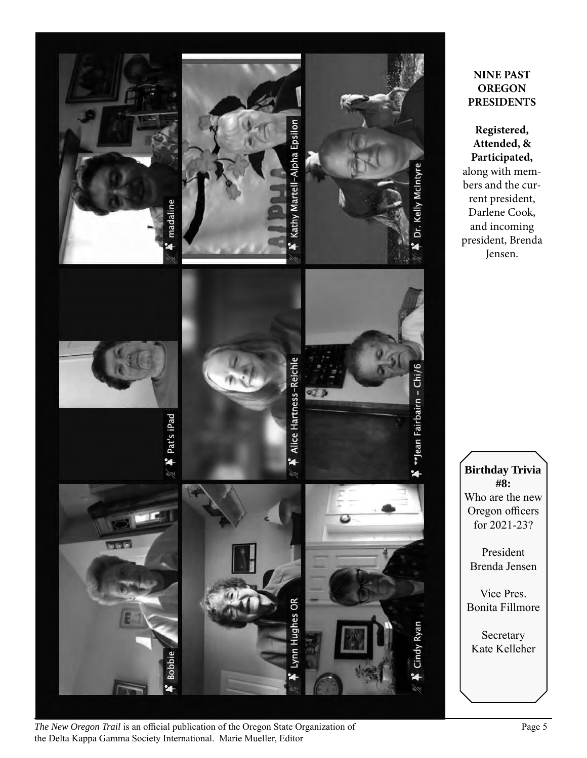

#### *The New Oregon Trail* is an official publication of the Oregon State Organization of Page 5 the Delta Kappa Gamma Society International. Marie Mueller, Editor

## **NINE PAST OREGON PRESIDENTS**

**Registered, Attended, & Participated,** along with members and the current president, Darlene Cook, and incoming president, Brenda Jensen.

**Birthday Trivia #8:**  Who are the new Oregon officers for 2021-23?

President Brenda Jensen

Vice Pres. Bonita Fillmore

Secretary Kate Kelleher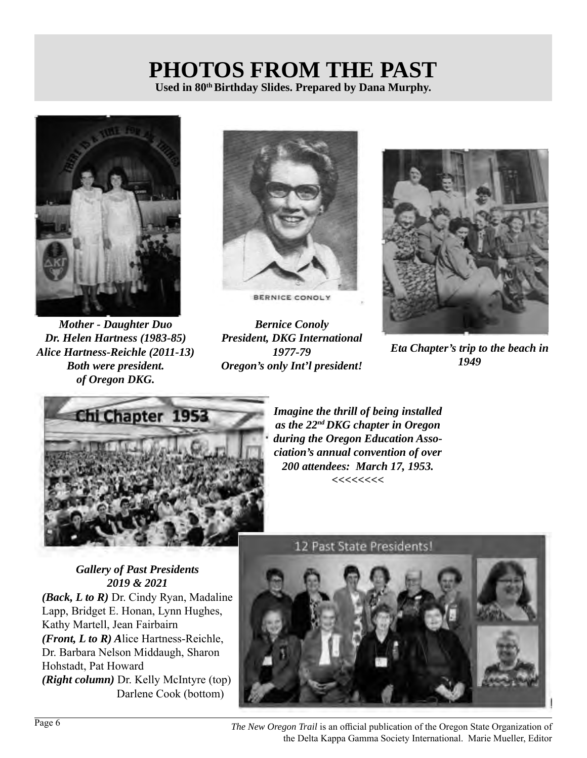## **PHOTOS FROM THE PAST** Used in 80<sup>th</sup> Birthday Slides. Prepared by Dana Murphy.



*Mother - Daughter Duo Dr. Helen Hartness (1983-85) Alice Hartness-Reichle (2011-13) Both were president. of Oregon DKG.*



BERNICE CONOLY

*Bernice Conoly President, DKG International 1977-79 Oregon's only Int'l president!*



*Eta Chapter's trip to the beach in 1949*



*Imagine the thrill of being installed as the 22nd DKG chapter in Oregon during the Oregon Education Association's annual convention of over 200 attendees: March 17, 1953. <<<<<<<<*

*Gallery of Past Presidents 2019 & 2021 (Back, L to R)* Dr. Cindy Ryan, Madaline Lapp, Bridget E. Honan, Lynn Hughes, Kathy Martell, Jean Fairbairn *(Front, L to R) A*lice Hartness-Reichle, Dr. Barbara Nelson Middaugh, Sharon Hohstadt, Pat Howard *(Right column)* Dr. Kelly McIntyre (top) Darlene Cook (bottom)



Page 6 *The New Oregon Trail* is an official publication of the Oregon State Organization of the Delta Kappa Gamma Society International. Marie Mueller, Editor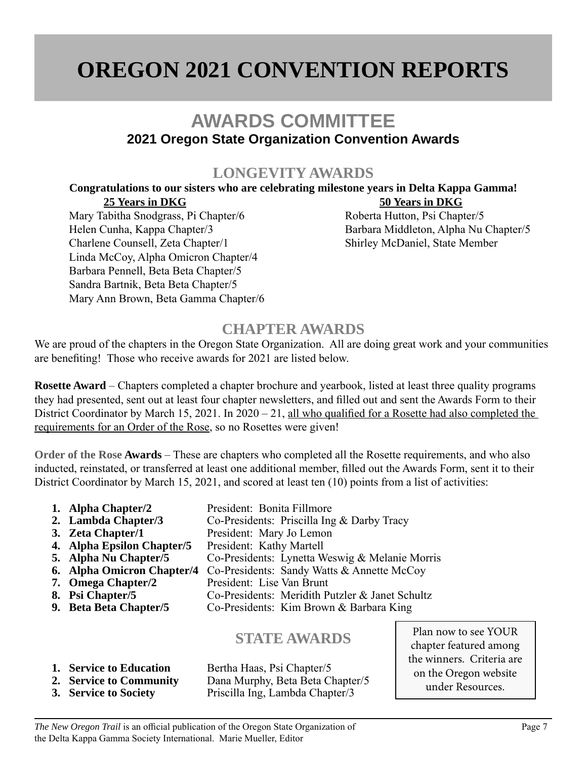## **OREGON 2021 CONVENTION REPORTS**

## **AWARDS COMMITTEE 2021 Oregon State Organization Convention Awards**

## **LONGEVITY AWARDS**

#### **Congratulations to our sisters who are celebrating milestone years in Delta Kappa Gamma! 25 Years in DKG** 50 Years in DKG

Mary Tabitha Snodgrass, Pi Chapter/6 Roberta Hutton, Psi Chapter/5 Helen Cunha, Kappa Chapter/3 Barbara Middleton, Alpha Nu Chapter/5 Charlene Counsell, Zeta Chapter/1 Shirley McDaniel, State Member Linda McCoy, Alpha Omicron Chapter/4 Barbara Pennell, Beta Beta Chapter/5 Sandra Bartnik, Beta Beta Chapter/5 Mary Ann Brown, Beta Gamma Chapter/6

## **CHAPTER AWARDS**

We are proud of the chapters in the Oregon State Organization. All are doing great work and your communities are benefiting! Those who receive awards for 2021 are listed below.

**Rosette Award** – Chapters completed a chapter brochure and yearbook, listed at least three quality programs they had presented, sent out at least four chapter newsletters, and filled out and sent the Awards Form to their District Coordinator by March 15, 2021. In 2020 – 21, all who qualified for a Rosette had also completed the requirements for an Order of the Rose, so no Rosettes were given!

**Order of the Rose Awards** – These are chapters who completed all the Rosette requirements, and who also inducted, reinstated, or transferred at least one additional member, filled out the Awards Form, sent it to their District Coordinator by March 15, 2021, and scored at least ten (10) points from a list of activities:

- **1. Alpha Chapter/2** President: Bonita Fillmore<br> **2. Lambda Chapter/3** Co-Presidents: Priscilla Ing **2.** Co-Presidents: Priscilla Ing & Darby Tracy **3. Zeta Chapter/1** President: Mary Jo Lemon **4. Alpha Epsilon Chapter/5** President: Kathy Martell<br>**5. Alpha Nu Chapter/5** Co-Presidents: Lynetta W **5. Alpha Nu Chapter/5** Co-Presidents: Lynetta Weswig & Melanie Morris **6. Alpha Omicron Chapter/4** Co-Presidents: Sandy Watts & Annette McCoy **7. Omega Chapter/2** President: Lise Van Brunt<br> **8. Psi Chapter/5** Co-Presidents: Meridith P **8.** Co-Presidents: Meridith Putzler & Janet Schultz **9. Beta Beta Chapter/5** Co-Presidents: Kim Brown & Barbara King **STATE AWARDS**
- **1. Service to Education** Bertha Haas, Psi Chapter/5 **2. Service to Community** Dana Murphy, Beta Beta Chapter/5 **3. Service to Society** Priscilla Ing, Lambda Chapter/3

Plan now to see YOUR chapter featured among the winners. Criteria are on the Oregon website under Resources.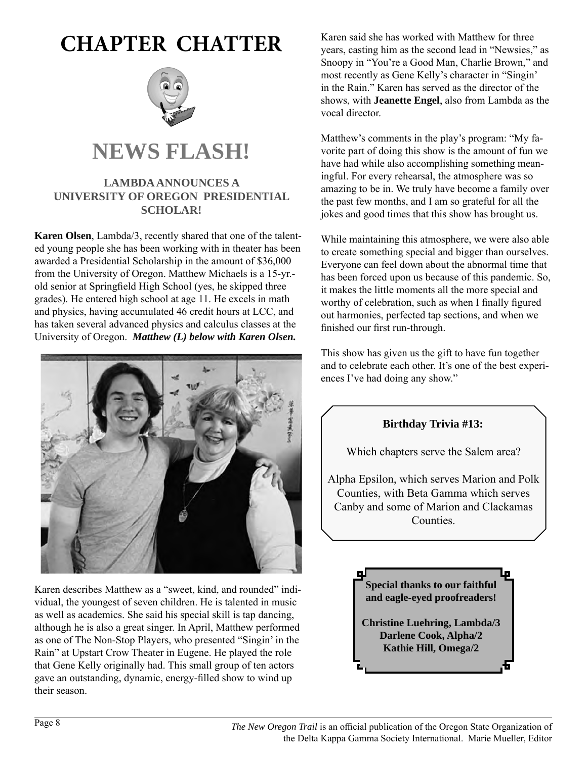## **CHAPTER CHATTER**



## **NEWS FLASH!**

## **LAMBDA ANNOUNCES A UNIVERSITY OF OREGON PRESIDENTIAL SCHOLAR!**

**Karen Olsen**, Lambda/3, recently shared that one of the talented young people she has been working with in theater has been awarded a Presidential Scholarship in the amount of \$36,000 from the University of Oregon. Matthew Michaels is a 15-yr. old senior at Springfield High School (yes, he skipped three grades). He entered high school at age 11. He excels in math and physics, having accumulated 46 credit hours at LCC, and has taken several advanced physics and calculus classes at the University of Oregon. *Matthew (L) below with Karen Olsen.*



Karen describes Matthew as a "sweet, kind, and rounded" individual, the youngest of seven children. He is talented in music as well as academics. She said his special skill is tap dancing, although he is also a great singer. In April, Matthew performed as one of The Non-Stop Players, who presented "Singin' in the Rain" at Upstart Crow Theater in Eugene. He played the role that Gene Kelly originally had. This small group of ten actors gave an outstanding, dynamic, energy-filled show to wind up their season.

Karen said she has worked with Matthew for three years, casting him as the second lead in "Newsies," as Snoopy in "You're a Good Man, Charlie Brown," and most recently as Gene Kelly's character in "Singin' in the Rain." Karen has served as the director of the shows, with **Jeanette Engel**, also from Lambda as the vocal director.

Matthew's comments in the play's program: "My favorite part of doing this show is the amount of fun we have had while also accomplishing something meaningful. For every rehearsal, the atmosphere was so amazing to be in. We truly have become a family over the past few months, and I am so grateful for all the jokes and good times that this show has brought us.

While maintaining this atmosphere, we were also able to create something special and bigger than ourselves. Everyone can feel down about the abnormal time that has been forced upon us because of this pandemic. So, it makes the little moments all the more special and worthy of celebration, such as when I finally figured out harmonies, perfected tap sections, and when we finished our first run-through.

This show has given us the gift to have fun together and to celebrate each other. It's one of the best experiences I've had doing any show."



Which chapters serve the Salem area?

Alpha Epsilon, which serves Marion and Polk Counties, with Beta Gamma which serves Canby and some of Marion and Clackamas Counties.

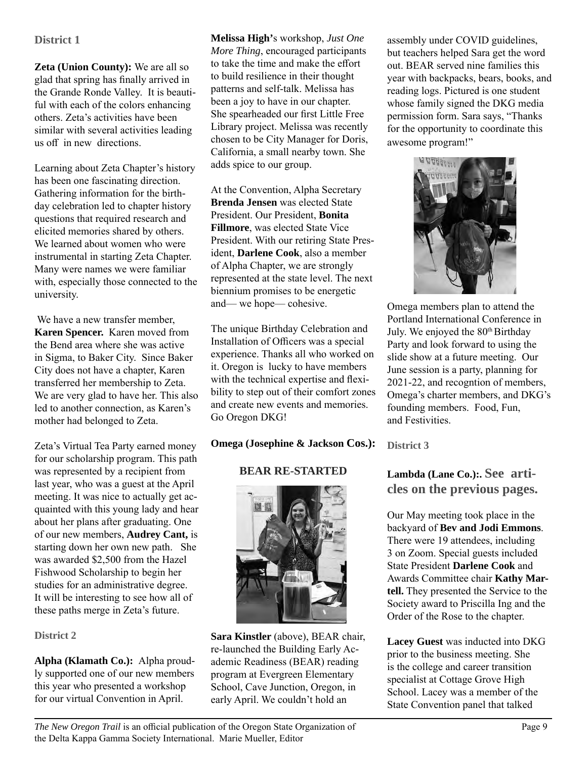#### **District 1**

**Zeta (Union County):** We are all so glad that spring has finally arrived in the Grande Ronde Valley. It is beautiful with each of the colors enhancing others. Zeta's activities have been similar with several activities leading us off in new directions.

Learning about Zeta Chapter's history has been one fascinating direction. Gathering information for the birthday celebration led to chapter history questions that required research and elicited memories shared by others. We learned about women who were instrumental in starting Zeta Chapter. Many were names we were familiar with, especially those connected to the university.

 We have a new transfer member, **Karen Spencer.** Karen moved from the Bend area where she was active in Sigma, to Baker City. Since Baker City does not have a chapter, Karen transferred her membership to Zeta. We are very glad to have her. This also led to another connection, as Karen's mother had belonged to Zeta.

Zeta's Virtual Tea Party earned money for our scholarship program. This path was represented by a recipient from last year, who was a guest at the April meeting. It was nice to actually get acquainted with this young lady and hear about her plans after graduating. One of our new members, **Audrey Cant,** is starting down her own new path. She was awarded \$2,500 from the Hazel Fishwood Scholarship to begin her studies for an administrative degree. It will be interesting to see how all of these paths merge in Zeta's future.

#### **District 2**

**Alpha (Klamath Co.):** Alpha proudly supported one of our new members this year who presented a workshop for our virtual Convention in April.

**Melissa High'**s workshop, *Just One More Thing*, encouraged participants to take the time and make the effort to build resilience in their thought patterns and self-talk. Melissa has been a joy to have in our chapter. She spearheaded our first Little Free Library project. Melissa was recently chosen to be City Manager for Doris, California, a small nearby town. She adds spice to our group.

At the Convention, Alpha Secretary **Brenda Jensen** was elected State President. Our President, **Bonita Fillmore**, was elected State Vice President. With our retiring State President, **Darlene Cook**, also a member of Alpha Chapter, we are strongly represented at the state level. The next biennium promises to be energetic and— we hope— cohesive.

The unique Birthday Celebration and Installation of Officers was a special experience. Thanks all who worked on it. Oregon is lucky to have members with the technical expertise and flexibility to step out of their comfort zones and create new events and memories. Go Oregon DKG!

#### **Omega (Josephine & Jackson Cos.):**

## **BEAR RE-STARTED**



**Sara Kinstler** (above), BEAR chair, re-launched the Building Early Academic Readiness (BEAR) reading program at Evergreen Elementary School, Cave Junction, Oregon, in early April. We couldn't hold an

assembly under COVID guidelines, but teachers helped Sara get the word out. BEAR served nine families this year with backpacks, bears, books, and reading logs. Pictured is one student whose family signed the DKG media permission form. Sara says, "Thanks for the opportunity to coordinate this awesome program!"



Omega members plan to attend the Portland International Conference in July. We enjoyed the 80<sup>th</sup> Birthday Party and look forward to using the slide show at a future meeting. Our June session is a party, planning for 2021-22, and recogntion of members, Omega's charter members, and DKG's founding members. Food, Fun, and Festivities.

**District 3**

## **Lambda (Lane Co.):. See articles on the previous pages.**

Our May meeting took place in the backyard of **Bev and Jodi Emmons**. There were 19 attendees, including 3 on Zoom. Special guests included State President **Darlene Cook** and Awards Committee chair **Kathy Martell.** They presented the Service to the Society award to Priscilla Ing and the Order of the Rose to the chapter.

**Lacey Guest** was inducted into DKG prior to the business meeting. She is the college and career transition specialist at Cottage Grove High School. Lacey was a member of the State Convention panel that talked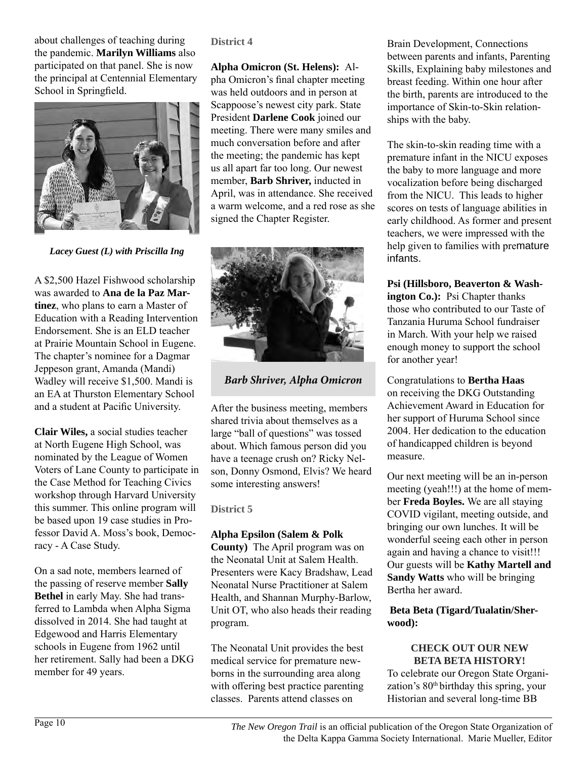about challenges of teaching during the pandemic. **Marilyn Williams** also participated on that panel. She is now the principal at Centennial Elementary School in Springfield.



*Lacey Guest (L) with Priscilla Ing*

A \$2,500 Hazel Fishwood scholarship was awarded to **Ana de la Paz Martinez**, who plans to earn a Master of Education with a Reading Intervention Endorsement. She is an ELD teacher at Prairie Mountain School in Eugene. The chapter's nominee for a Dagmar Jeppeson grant, Amanda (Mandi) Wadley will receive \$1,500. Mandi is an EA at Thurston Elementary School and a student at Pacific University.

**Clair Wiles,** a social studies teacher at North Eugene High School, was nominated by the League of Women Voters of Lane County to participate in the Case Method for Teaching Civics workshop through Harvard University this summer. This online program will be based upon 19 case studies in Professor David A. Moss's book, Democracy - A Case Study.

On a sad note, members learned of the passing of reserve member **Sally Bethel** in early May. She had transferred to Lambda when Alpha Sigma dissolved in 2014. She had taught at Edgewood and Harris Elementary schools in Eugene from 1962 until her retirement. Sally had been a DKG member for 49 years.

**District 4**

**Alpha Omicron (St. Helens):** Alpha Omicron's final chapter meeting was held outdoors and in person at Scappoose's newest city park. State President **Darlene Cook** joined our meeting. There were many smiles and much conversation before and after the meeting; the pandemic has kept us all apart far too long. Our newest member, **Barb Shriver,** inducted in April, was in attendance. She received a warm welcome, and a red rose as she signed the Chapter Register.



*Barb Shriver, Alpha Omicron*

After the business meeting, members shared trivia about themselves as a large "ball of questions" was tossed about. Which famous person did you have a teenage crush on? Ricky Nelson, Donny Osmond, Elvis? We heard some interesting answers!

**District 5**

#### **Alpha Epsilon (Salem & Polk**

**County)** The April program was on the Neonatal Unit at Salem Health. Presenters were Kacy Bradshaw, Lead Neonatal Nurse Practitioner at Salem Health, and Shannan Murphy-Barlow, Unit OT, who also heads their reading program.

The Neonatal Unit provides the best medical service for premature newborns in the surrounding area along with offering best practice parenting classes. Parents attend classes on

Brain Development, Connections between parents and infants, Parenting Skills, Explaining baby milestones and breast feeding. Within one hour after the birth, parents are introduced to the importance of Skin-to-Skin relationships with the baby.

The skin-to-skin reading time with a premature infant in the NICU exposes the baby to more language and more vocalization before being discharged from the NICU. This leads to higher scores on tests of language abilities in early childhood. As former and present teachers, we were impressed with the help given to families with premature infants.

**Psi (Hillsboro, Beaverton & Washington Co.):** Psi Chapter thanks those who contributed to our Taste of Tanzania Huruma School fundraiser in March. With your help we raised enough money to support the school for another year!

Congratulations to **Bertha Haas** on receiving the DKG Outstanding Achievement Award in Education for her support of Huruma School since 2004. Her dedication to the education of handicapped children is beyond measure.

Our next meeting will be an in-person meeting (yeah!!!) at the home of member **Freda Boyles.** We are all staying COVID vigilant, meeting outside, and bringing our own lunches. It will be wonderful seeing each other in person again and having a chance to visit!!! Our guests will be **Kathy Martell and Sandy Watts** who will be bringing Bertha her award.

#### **Beta Beta (Tigard/Tualatin/Sherwood):**

#### **CHECK OUT OUR NEW BETA BETA HISTORY!**

To celebrate our Oregon State Organization's 80<sup>th</sup> birthday this spring, your Historian and several long-time BB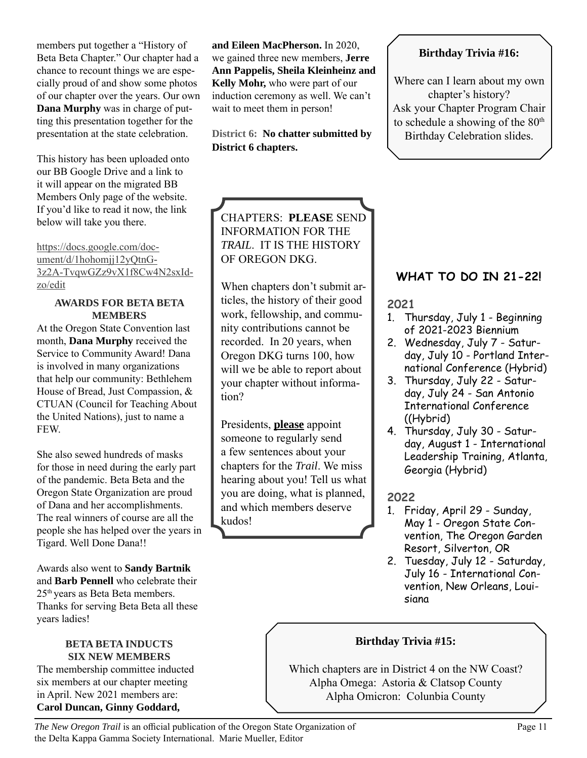members put together a "History of Beta Beta Chapter." Our chapter had a chance to recount things we are especially proud of and show some photos of our chapter over the years. Our own **Dana Murphy** was in charge of putting this presentation together for the presentation at the state celebration.

This history has been uploaded onto our BB Google Drive and a link to it will appear on the migrated BB Members Only page of the website. If you'd like to read it now, the link below will take you there.

https://docs.google.com/document/d/1hohomjj12yQtnG-3z2A-TvqwGZz9vX1f8Cw4N2sxIdzo/edit

#### **AWARDS FOR BETA BETA MEMBERS**

At the Oregon State Convention last month, **Dana Murphy** received the Service to Community Award! Dana is involved in many organizations that help our community: Bethlehem House of Bread, Just Compassion, & CTUAN (Council for Teaching About the United Nations), just to name a FEW.

She also sewed hundreds of masks for those in need during the early part of the pandemic. Beta Beta and the Oregon State Organization are proud of Dana and her accomplishments. The real winners of course are all the people she has helped over the years in Tigard. Well Done Dana!!

Awards also went to **Sandy Bartnik**  and **Barb Pennell** who celebrate their 25<sup>th</sup> years as Beta Beta members. Thanks for serving Beta Beta all these years ladies!

#### **BETA BETA INDUCTS SIX NEW MEMBERS**

The membership committee inducted six members at our chapter meeting in April. New 2021 members are: **Carol Duncan, Ginny Goddard,** 

**and Eileen MacPherson.** In 2020, we gained three new members, **Jerre Ann Pappelis, Sheila Kleinheinz and Kelly Mohr,** who were part of our induction ceremony as well. We can't wait to meet them in person!

**District 6: No chatter submitted by District 6 chapters.** 

## **Birthday Trivia #16:**

Where can I learn about my own chapter's history? Ask your Chapter Program Chair to schedule a showing of the  $80<sup>th</sup>$ Birthday Celebration slides.

## CHAPTERS: **PLEASE** SEND INFORMATION FOR THE *TRAIL*. IT IS THE HISTORY OF OREGON DKG.

When chapters don't submit articles, the history of their good work, fellowship, and community contributions cannot be recorded. In 20 years, when Oregon DKG turns 100, how will we be able to report about your chapter without information?

Presidents, **please** appoint someone to regularly send a few sentences about your chapters for the *Trail*. We miss hearing about you! Tell us what you are doing, what is planned, and which members deserve kudos!

## **WHAT TO DO IN 21-22!**

**2021**

- 1. Thursday, July 1 Beginning of 2021-2023 Biennium
- 2. Wednesday, July 7 Saturday, July 10 - Portland International Conference (Hybrid)
- 3. Thursday, July 22 Saturday, July 24 - San Antonio International Conference ((Hybrid)
- 4. Thursday, July 30 Saturday, August 1 - International Leadership Training, Atlanta, Georgia (Hybrid)

## **2022**

- 1. Friday, April 29 Sunday, May 1 - Oregon State Convention, The Oregon Garden Resort, Silverton, OR
- 2. Tuesday, July 12 Saturday, July 16 - International Convention, New Orleans, Louisiana

## **Birthday Trivia #15:**

Which chapters are in District 4 on the NW Coast? Alpha Omega: Astoria & Clatsop County Alpha Omicron: Colunbia County